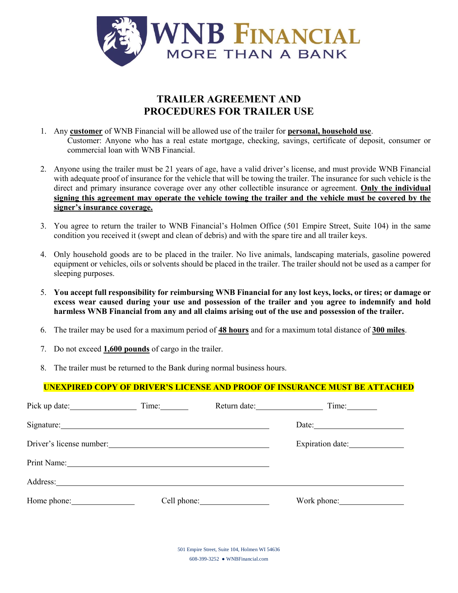

## **TRAILER AGREEMENT AND PROCEDURES FOR TRAILER USE**

- 1. Any **customer** of WNB Financial will be allowed use of the trailer for **personal, household use**. Customer: Anyone who has a real estate mortgage, checking, savings, certificate of deposit, consumer or commercial loan with WNB Financial.
- 2. Anyone using the trailer must be 21 years of age, have a valid driver's license, and must provide WNB Financial with adequate proof of insurance for the vehicle that will be towing the trailer. The insurance for such vehicle is the direct and primary insurance coverage over any other collectible insurance or agreement. **Only the individual signing this agreement may operate the vehicle towing the trailer and the vehicle must be covered by the signer's insurance coverage.**
- 3. You agree to return the trailer to WNB Financial's Holmen Office (501 Empire Street, Suite 104) in the same condition you received it (swept and clean of debris) and with the spare tire and all trailer keys.
- 4. Only household goods are to be placed in the trailer. No live animals, landscaping materials, gasoline powered equipment or vehicles, oils or solvents should be placed in the trailer. The trailer should not be used as a camper for sleeping purposes.
- 5. **You accept full responsibility for reimbursing WNB Financial for any lost keys, locks, or tires; or damage or excess wear caused during your use and possession of the trailer and you agree to indemnify and hold harmless WNB Financial from any and all claims arising out of the use and possession of the trailer.**
- 6. The trailer may be used for a maximum period of **48 hours** and for a maximum total distance of **300 miles**.
- 7. Do not exceed **1,600 pounds** of cargo in the trailer.
- 8. The trailer must be returned to the Bank during normal business hours.

## **UNEXPIRED COPY OF DRIVER'S LICENSE AND PROOF OF INSURANCE MUST BE ATTACHED**

|                          | Time: | Return date: Time: |                          |
|--------------------------|-------|--------------------|--------------------------|
| Signature: Signature:    |       |                    |                          |
| Driver's license number: |       |                    | Expiration date:         |
| Print Name: 1988         |       |                    |                          |
| Address: No. 1998        |       |                    |                          |
|                          |       |                    | Work phone: North Months |